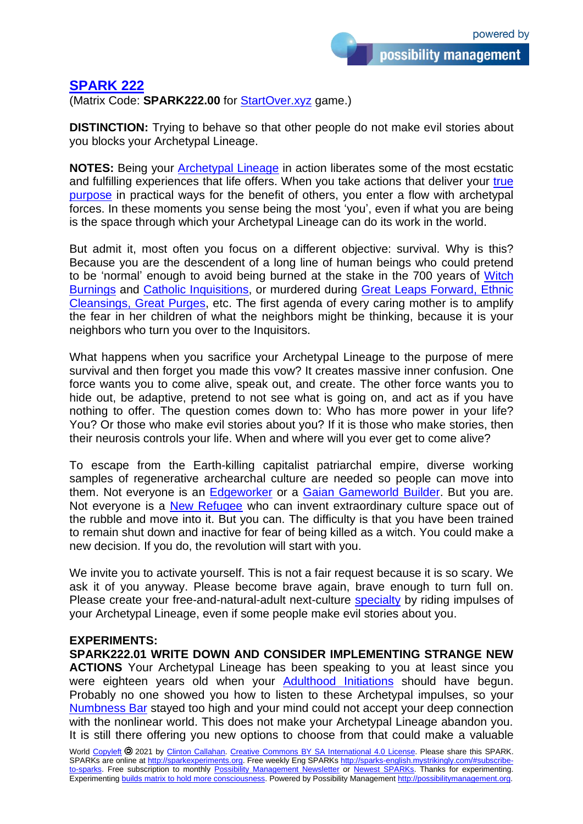## **[SPARK 222](http://sparks-english.mystrikingly.com/)**

(Matrix Code: **SPARK222.00** for [StartOver.xyz](http://startoverxyz.mystrikingly.com/) game.)

**DISTINCTION:** Trying to behave so that other people do not make evil stories about you blocks your Archetypal Lineage.

**NOTES:** Being your [Archetypal Lineage](http://4lineages.mystrikingly.com/) in action liberates some of the most ecstatic and fulfilling experiences that life offers. When you take actions that deliver your true [purpose](http://brightprinciples.mystrikingly.com/) in practical ways for the benefit of others, you enter a flow with archetypal forces. In these moments you sense being the most 'you', even if what you are being is the space through which your Archetypal Lineage can do its work in the world.

But admit it, most often you focus on a different objective: survival. Why is this? Because you are the descendent of a long line of human beings who could pretend to be 'normal' enough to avoid being burned at the stake in the 700 years of [Witch](https://en.wikipedia.org/wiki/Witch-hunt)  [Burnings](https://en.wikipedia.org/wiki/Witch-hunt) and [Catholic Inquisitions,](https://en.wikipedia.org/wiki/Inquisition) or murdered during [Great Leaps Forward, Ethnic](https://en.wikipedia.org/wiki/Democide)  [Cleansings, Great Purges,](https://en.wikipedia.org/wiki/Democide) etc. The first agenda of every caring mother is to amplify the fear in her children of what the neighbors might be thinking, because it is your neighbors who turn you over to the Inquisitors.

What happens when you sacrifice your Archetypal Lineage to the purpose of mere survival and then forget you made this vow? It creates massive inner confusion. One force wants you to come alive, speak out, and create. The other force wants you to hide out, be adaptive, pretend to not see what is going on, and act as if you have nothing to offer. The question comes down to: Who has more power in your life? You? Or those who make evil stories about you? If it is those who make stories, then their neurosis controls your life. When and where will you ever get to come alive?

To escape from the Earth-killing capitalist patriarchal empire, diverse working samples of regenerative archearchal culture are needed so people can move into them. Not everyone is an [Edgeworker](http://edgeworker.mystrikingly.com/) or a [Gaian Gameworld Builder.](http://gaiangameworlds.mystrikingly.com/) But you are. Not everyone is a **New Refugee** who can invent extraordinary culture space out of the rubble and move into it. But you can. The difficulty is that you have been trained to remain shut down and inactive for fear of being killed as a witch. You could make a new decision. If you do, the revolution will start with you.

We invite you to activate yourself. This is not a fair request because it is so scary. We ask it of you anyway. Please become brave again, brave enough to turn full on. Please create your free-and-natural-adult next-culture [specialty](http://possibilitatortraining.mystrikingly.com/#specialties) by riding impulses of your Archetypal Lineage, even if some people make evil stories about you.

## **EXPERIMENTS:**

**SPARK222.01 WRITE DOWN AND CONSIDER IMPLEMENTING STRANGE NEW ACTIONS** Your Archetypal Lineage has been speaking to you at least since you were eighteen years old when your [Adulthood Initiations](http://initiations.mystrikingly.com/) should have begun. Probably no one showed you how to listen to these Archetypal impulses, so your [Numbness Bar](http://numbnessbar.mystrikingly.com/) stayed too high and your mind could not accept your deep connection with the nonlinear world. This does not make your Archetypal Lineage abandon you. It is still there offering you new options to choose from that could make a valuable